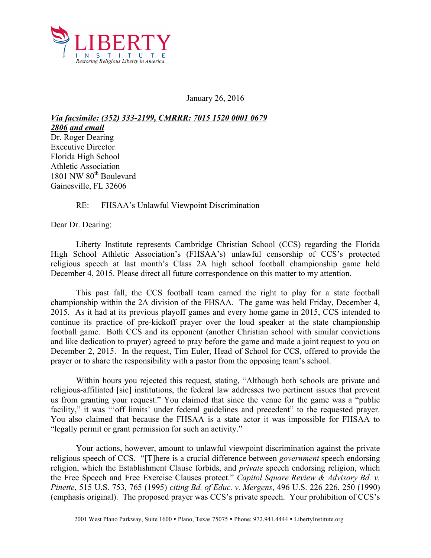

January 26, 2016

*Via facsimile: (352) 333-2199, CMRRR: 7015 1520 0001 0679 2806 and email*  Dr. Roger Dearing Executive Director Florida High School Athletic Association 1801 NW 80<sup>th</sup> Boulevard Gainesville, FL 32606

## RE: FHSAA's Unlawful Viewpoint Discrimination

Dear Dr. Dearing:

Liberty Institute represents Cambridge Christian School (CCS) regarding the Florida High School Athletic Association's (FHSAA's) unlawful censorship of CCS's protected religious speech at last month's Class 2A high school football championship game held December 4, 2015. Please direct all future correspondence on this matter to my attention.

This past fall, the CCS football team earned the right to play for a state football championship within the 2A division of the FHSAA. The game was held Friday, December 4, 2015. As it had at its previous playoff games and every home game in 2015, CCS intended to continue its practice of pre-kickoff prayer over the loud speaker at the state championship football game. Both CCS and its opponent (another Christian school with similar convictions and like dedication to prayer) agreed to pray before the game and made a joint request to you on December 2, 2015. In the request, Tim Euler, Head of School for CCS, offered to provide the prayer or to share the responsibility with a pastor from the opposing team's school.

Within hours you rejected this request, stating, "Although both schools are private and religious-affiliated [sic] institutions, the federal law addresses two pertinent issues that prevent us from granting your request." You claimed that since the venue for the game was a "public facility," it was "off limits' under federal guidelines and precedent" to the requested prayer. You also claimed that because the FHSAA is a state actor it was impossible for FHSAA to "legally permit or grant permission for such an activity."

Your actions, however, amount to unlawful viewpoint discrimination against the private religious speech of CCS. "[T]here is a crucial difference between *government* speech endorsing religion, which the Establishment Clause forbids, and *private* speech endorsing religion, which the Free Speech and Free Exercise Clauses protect." *Capitol Square Review & Advisory Bd. v. Pinette*, 515 U.S. 753, 765 (1995) *citing Bd. of Educ. v. Mergens*, 496 U.S. 226 226, 250 (1990) (emphasis original). The proposed prayer was CCS's private speech. Your prohibition of CCS's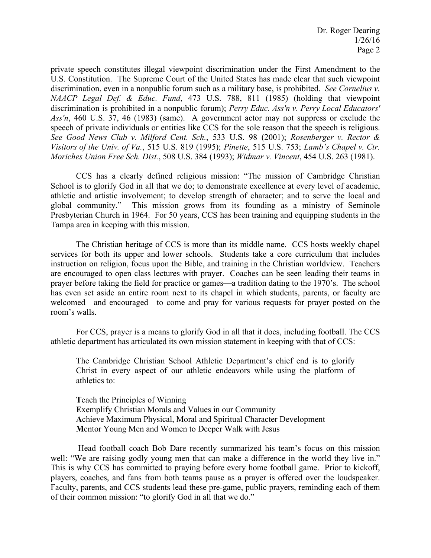private speech constitutes illegal viewpoint discrimination under the First Amendment to the U.S. Constitution. The Supreme Court of the United States has made clear that such viewpoint discrimination, even in a nonpublic forum such as a military base, is prohibited. *See Cornelius v. NAACP Legal Def. & Educ. Fund*, 473 U.S. 788, 811 (1985) (holding that viewpoint discrimination is prohibited in a nonpublic forum); *Perry Educ. Ass'n v. Perry Local Educators' Ass'n*, 460 U.S. 37, 46 (1983) (same). A government actor may not suppress or exclude the speech of private individuals or entities like CCS for the sole reason that the speech is religious. *See Good News Club v. Milford Cent. Sch.*, 533 U.S. 98 (2001); *Rosenberger v. Rector & Visitors of the Univ. of Va.*, 515 U.S. 819 (1995); *Pinette*, 515 U.S. 753; *Lamb's Chapel v. Ctr. Moriches Union Free Sch. Dist.*, 508 U.S. 384 (1993); *Widmar v. Vincent*, 454 U.S. 263 (1981).

CCS has a clearly defined religious mission: "The mission of Cambridge Christian School is to glorify God in all that we do; to demonstrate excellence at every level of academic, athletic and artistic involvement; to develop strength of character; and to serve the local and global community." This mission grows from its founding as a ministry of Seminole Presbyterian Church in 1964. For 50 years, CCS has been training and equipping students in the Tampa area in keeping with this mission.

The Christian heritage of CCS is more than its middle name. CCS hosts weekly chapel services for both its upper and lower schools. Students take a core curriculum that includes instruction on religion, focus upon the Bible, and training in the Christian worldview. Teachers are encouraged to open class lectures with prayer. Coaches can be seen leading their teams in prayer before taking the field for practice or games—a tradition dating to the 1970's. The school has even set aside an entire room next to its chapel in which students, parents, or faculty are welcomed—and encouraged—to come and pray for various requests for prayer posted on the room's walls.

For CCS, prayer is a means to glorify God in all that it does, including football. The CCS athletic department has articulated its own mission statement in keeping with that of CCS:

The Cambridge Christian School Athletic Department's chief end is to glorify Christ in every aspect of our athletic endeavors while using the platform of athletics to:

**T**each the Principles of Winning **E**xemplify Christian Morals and Values in our Community **A**chieve Maximum Physical, Moral and Spiritual Character Development **M**entor Young Men and Women to Deeper Walk with Jesus

Head football coach Bob Dare recently summarized his team's focus on this mission well: "We are raising godly young men that can make a difference in the world they live in." This is why CCS has committed to praying before every home football game. Prior to kickoff, players, coaches, and fans from both teams pause as a prayer is offered over the loudspeaker. Faculty, parents, and CCS students lead these pre-game, public prayers, reminding each of them of their common mission: "to glorify God in all that we do."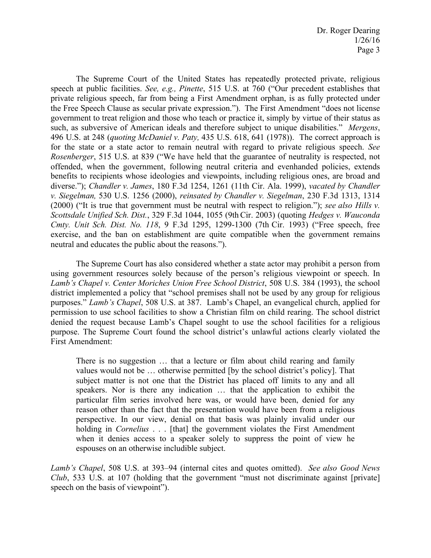The Supreme Court of the United States has repeatedly protected private, religious speech at public facilities. *See, e.g., Pinette*, 515 U.S. at 760 ("Our precedent establishes that private religious speech, far from being a First Amendment orphan, is as fully protected under the Free Speech Clause as secular private expression."). The First Amendment "does not license government to treat religion and those who teach or practice it, simply by virtue of their status as such, as subversive of American ideals and therefore subject to unique disabilities." *Mergens*, 496 U.S. at 248 (*quoting McDaniel v. Paty,* 435 U.S. 618, 641 (1978)). The correct approach is for the state or a state actor to remain neutral with regard to private religious speech. *See Rosenberger*, 515 U.S. at 839 ("We have held that the guarantee of neutrality is respected, not offended, when the government, following neutral criteria and evenhanded policies, extends benefits to recipients whose ideologies and viewpoints, including religious ones, are broad and diverse."); *Chandler v. James*, 180 F.3d 1254, 1261 (11th Cir. Ala. 1999), *vacated by Chandler v. Siegelman,* 530 U.S. 1256 (2000), *reinsated by Chandler v. Siegelman*, 230 F.3d 1313, 1314 (2000) ("It is true that government must be neutral with respect to religion."); *see also Hills v. Scottsdale Unified Sch. Dist.*, 329 F.3d 1044, 1055 (9thCir. 2003) (quoting *Hedges v. Wauconda Cmty. Unit Sch. Dist. No. 118*, 9 F.3d 1295, 1299-1300 (7th Cir. 1993) ("Free speech, free exercise, and the ban on establishment are quite compatible when the government remains neutral and educates the public about the reasons.").

The Supreme Court has also considered whether a state actor may prohibit a person from using government resources solely because of the person's religious viewpoint or speech. In *Lamb's Chapel v. Center Moriches Union Free School District*, 508 U.S. 384 (1993), the school district implemented a policy that "school premises shall not be used by any group for religious purposes." *Lamb's Chapel*, 508 U.S. at 387. Lamb's Chapel, an evangelical church, applied for permission to use school facilities to show a Christian film on child rearing. The school district denied the request because Lamb's Chapel sought to use the school facilities for a religious purpose. The Supreme Court found the school district's unlawful actions clearly violated the First Amendment:

There is no suggestion ... that a lecture or film about child rearing and family values would not be … otherwise permitted [by the school district's policy]. That subject matter is not one that the District has placed off limits to any and all speakers. Nor is there any indication … that the application to exhibit the particular film series involved here was, or would have been, denied for any reason other than the fact that the presentation would have been from a religious perspective. In our view, denial on that basis was plainly invalid under our holding in *Cornelius* . . . [that] the government violates the First Amendment when it denies access to a speaker solely to suppress the point of view he espouses on an otherwise includible subject.

*Lamb's Chapel*, 508 U.S. at 393–94 (internal cites and quotes omitted). *See also Good News Club*, 533 U.S. at 107 (holding that the government "must not discriminate against [private] speech on the basis of viewpoint").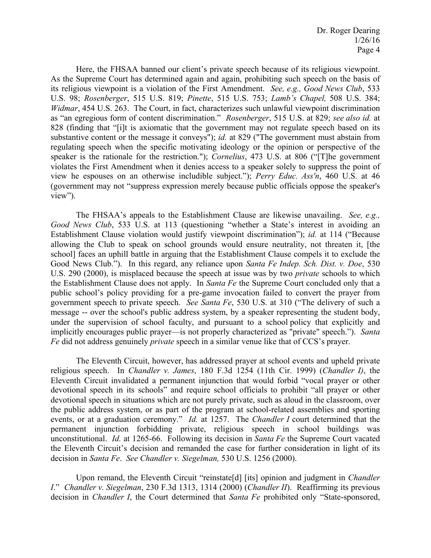Here, the FHSAA banned our client's private speech because of its religious viewpoint. As the Supreme Court has determined again and again, prohibiting such speech on the basis of its religious viewpoint is a violation of the First Amendment. *See, e.g., Good News Club*, 533 U.S. 98; *Rosenberger*, 515 U.S. 819; *Pinette*, 515 U.S. 753; *Lamb's Chapel,* 508 U.S. 384; *Widmar*, 454 U.S. 263. The Court, in fact, characterizes such unlawful viewpoint discrimination as "an egregious form of content discrimination." *Rosenberger*, 515 U.S. at 829; *see also id.* at 828 (finding that "[i]t is axiomatic that the government may not regulate speech based on its substantive content or the message it conveys"); *id.* at 829 ("The government must abstain from regulating speech when the specific motivating ideology or the opinion or perspective of the speaker is the rationale for the restriction."); *Cornelius*, 473 U.S. at 806 ("[T]he government violates the First Amendment when it denies access to a speaker solely to suppress the point of view he espouses on an otherwise includible subject."); *Perry Educ. Ass'n*, 460 U.S. at 46 (government may not "suppress expression merely because public officials oppose the speaker's view").

The FHSAA's appeals to the Establishment Clause are likewise unavailing. *See, e.g., Good News Club*, 533 U.S. at 113 (questioning "whether a State's interest in avoiding an Establishment Clause violation would justify viewpoint discrimination"); *id.* at 114 ("Because allowing the Club to speak on school grounds would ensure neutrality, not threaten it, [the school] faces an uphill battle in arguing that the Establishment Clause compels it to exclude the Good News Club."). In this regard, any reliance upon *Santa Fe Indep. Sch. Dist. v. Doe*, 530 U.S. 290 (2000), is misplaced because the speech at issue was by two *private* schools to which the Establishment Clause does not apply. In *Santa Fe* the Supreme Court concluded only that a public school's policy providing for a pre-game invocation failed to convert the prayer from government speech to private speech. *See Santa Fe*, 530 U.S. at 310 ("The delivery of such a message -- over the school's public address system, by a speaker representing the student body, under the supervision of school faculty, and pursuant to a school policy that explicitly and implicitly encourages public prayer—is not properly characterized as "private" speech."). *Santa Fe* did not address genuinely *private* speech in a similar venue like that of CCS's prayer.

The Eleventh Circuit, however, has addressed prayer at school events and upheld private religious speech. In *Chandler v. James*, 180 F.3d 1254 (11th Cir. 1999) (*Chandler I)*, the Eleventh Circuit invalidated a permanent injunction that would forbid "vocal prayer or other devotional speech in its schools" and require school officials to prohibit "all prayer or other devotional speech in situations which are not purely private, such as aloud in the classroom, over the public address system, or as part of the program at school-related assemblies and sporting events, or at a graduation ceremony." *Id.* at 1257. The *Chandler I* court determined that the permanent injunction forbidding private, religious speech in school buildings was unconstitutional. *Id.* at 1265-66. Following its decision in *Santa Fe* the Supreme Court vacated the Eleventh Circuit's decision and remanded the case for further consideration in light of its decision in *Santa Fe*. *See Chandler v. Siegelman,* 530 U.S. 1256 (2000).

Upon remand, the Eleventh Circuit "reinstate[d] [its] opinion and judgment in *Chandler I*." *Chandler v. Siegelman*, 230 F.3d 1313, 1314 (2000) (*Chandler II*). Reaffirming its previous decision in *Chandler I*, the Court determined that *Santa Fe* prohibited only "State-sponsored,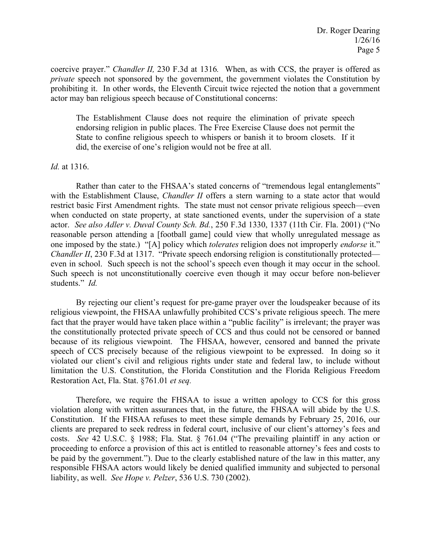coercive prayer." *Chandler II,* 230 F.3d at 1316*.* When, as with CCS, the prayer is offered as *private* speech not sponsored by the government, the government violates the Constitution by prohibiting it. In other words, the Eleventh Circuit twice rejected the notion that a government actor may ban religious speech because of Constitutional concerns:

The Establishment Clause does not require the elimination of private speech endorsing religion in public places. The Free Exercise Clause does not permit the State to confine religious speech to whispers or banish it to broom closets. If it did, the exercise of one's religion would not be free at all.

## *Id.* at 1316.

Rather than cater to the FHSAA's stated concerns of "tremendous legal entanglements" with the Establishment Clause, *Chandler II* offers a stern warning to a state actor that would restrict basic First Amendment rights. The state must not censor private religious speech—even when conducted on state property, at state sanctioned events, under the supervision of a state actor. *See also Adler v. Duval County Sch. Bd.*, 250 F.3d 1330, 1337 (11th Cir. Fla. 2001) ("No reasonable person attending a [football game] could view that wholly unregulated message as one imposed by the state.) "[A] policy which *tolerates* religion does not improperly *endorse* it." *Chandler II*, 230 F.3d at 1317. "Private speech endorsing religion is constitutionally protected even in school. Such speech is not the school's speech even though it may occur in the school. Such speech is not unconstitutionally coercive even though it may occur before non-believer students." *Id.*

By rejecting our client's request for pre-game prayer over the loudspeaker because of its religious viewpoint, the FHSAA unlawfully prohibited CCS's private religious speech. The mere fact that the prayer would have taken place within a "public facility" is irrelevant; the prayer was the constitutionally protected private speech of CCS and thus could not be censored or banned because of its religious viewpoint. The FHSAA, however, censored and banned the private speech of CCS precisely because of the religious viewpoint to be expressed. In doing so it violated our client's civil and religious rights under state and federal law, to include without limitation the U.S. Constitution, the Florida Constitution and the Florida Religious Freedom Restoration Act, Fla. Stat. §761.01 *et seq.*

Therefore, we require the FHSAA to issue a written apology to CCS for this gross violation along with written assurances that, in the future, the FHSAA will abide by the U.S. Constitution. If the FHSAA refuses to meet these simple demands by February 25, 2016, our clients are prepared to seek redress in federal court, inclusive of our client's attorney's fees and costs. *See* 42 U.S.C. § 1988; Fla. Stat. § 761.04 ("The prevailing plaintiff in any action or proceeding to enforce a provision of this act is entitled to reasonable attorney's fees and costs to be paid by the government."). Due to the clearly established nature of the law in this matter, any responsible FHSAA actors would likely be denied qualified immunity and subjected to personal liability, as well. *See Hope v. Pelzer*, 536 U.S. 730 (2002).